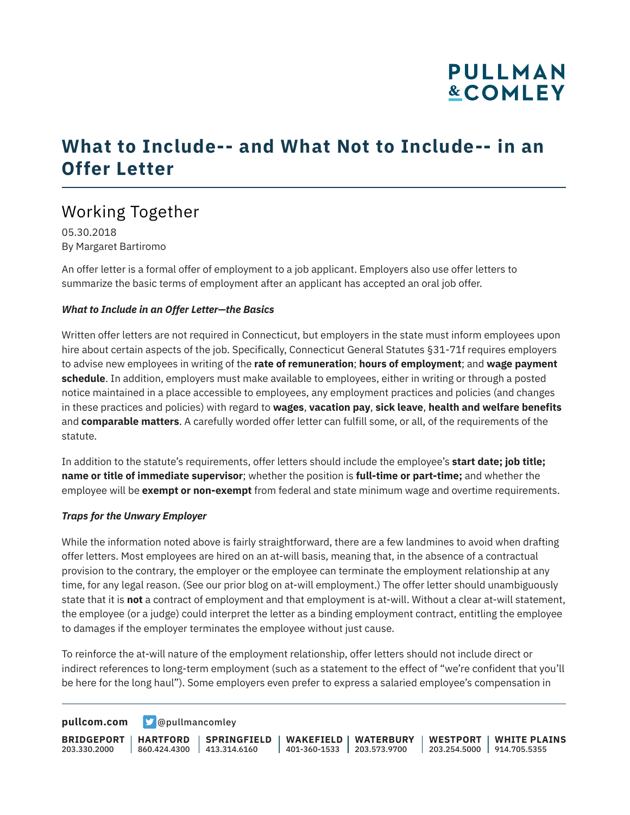## **PULLMAN &COMLEY**

## **What to Include-- and What Not to Include-- in an Offer Letter**

## Working Together

05.30.2018 By Margaret Bartiromo

An offer letter is a formal offer of employment to a job applicant. Employers also use offer letters to summarize the basic terms of employment after an applicant has accepted an oral job offer.

#### *What to Include in an Offer Letter—the Basics*

Written offer letters are not required in Connecticut, but employers in the state must inform employees upon hire about certain aspects of the job. Specifically, Connecticut General Statutes §31-71f requires employers to advise new employees in writing of the **rate of remuneration**; **hours of employment**; and **wage payment schedule**. In addition, employers must make available to employees, either in writing or through a posted notice maintained in a place accessible to employees, any employment practices and policies (and changes in these practices and policies) with regard to **wages**, **vacation pay**, **sick leave**, **health and welfare benefits** and **comparable matters**. A carefully worded offer letter can fulfill some, or all, of the requirements of the statute.

In addition to the statute's requirements, offer letters should include the employee's **start date; job title; name or title of immediate supervisor**; whether the position is **full-time or part-time;** and whether the employee will be **exempt or non-exempt** from federal and state minimum wage and overtime requirements.

#### *Traps for the Unwary Employer*

While the information noted above is fairly straightforward, there are a few landmines to avoid when drafting offer letters. Most employees are hired on an at-will basis, meaning that, in the absence of a contractual provision to the contrary, the employer or the employee can terminate the employment relationship at any time, for any legal reason. (See our prior blog on at-will employment.) The offer letter should unambiguously state that it is **not** a contract of employment and that employment is at-will. Without a clear at-will statement, the employee (or a judge) could interpret the letter as a binding employment contract, entitling the employee to damages if the employer terminates the employee without just cause.

To reinforce the at-will nature of the employment relationship, offer letters should not include direct or indirect references to long-term employment (such as a statement to the effect of "we're confident that you'll be here for the long haul"). Some employers even prefer to express a salaried employee's compensation in

**[pullcom.com](https://www.pullcom.com) g** [@pullmancomley](https://twitter.com/PullmanComley)

**BRIDGEPORT** 203.330.2000 **HARTFORD** 860.424.4300 413.314.6160 **SPRINGFIELD WAKEFIELD WATERBURY** 401-360-1533 203.573.9700 **WESTPORT WHITE PLAINS** 203.254.5000 914.705.5355